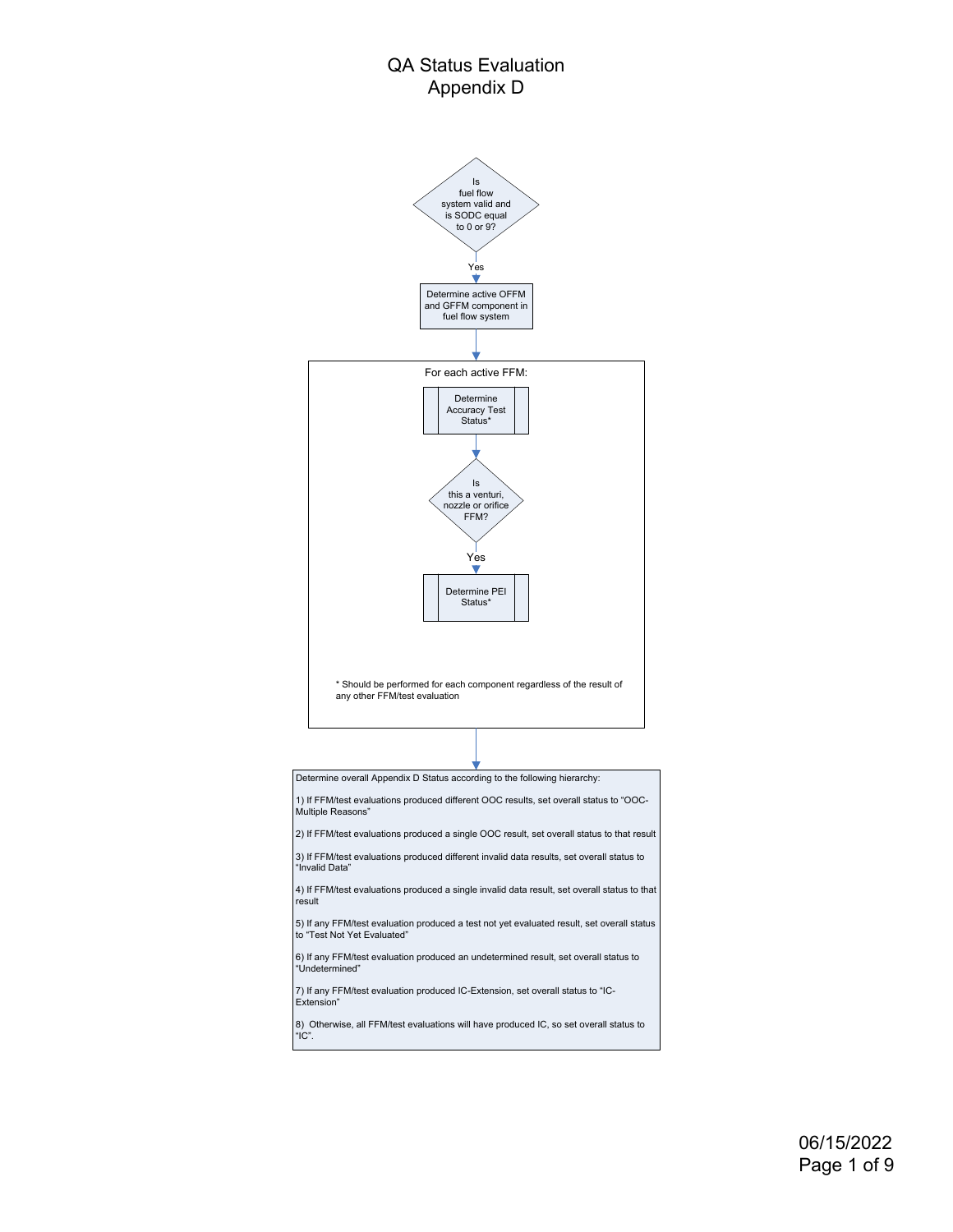## QA Status Evaluation Appendix D



"Undetermined"

Extension

"IC".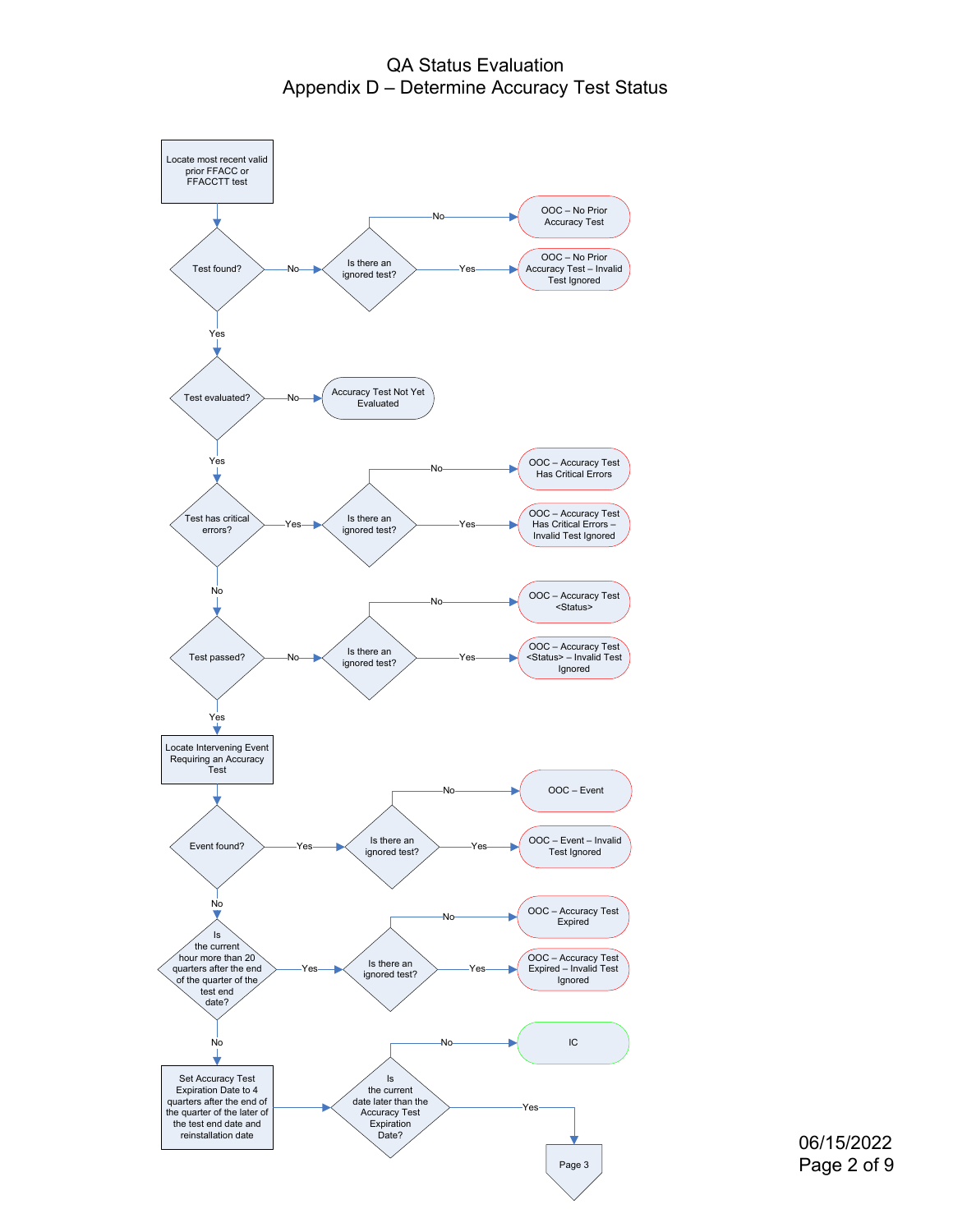QA Status Evaluation Appendix D – Determine Accuracy Test Status



06/15/2022 Page 2 of 9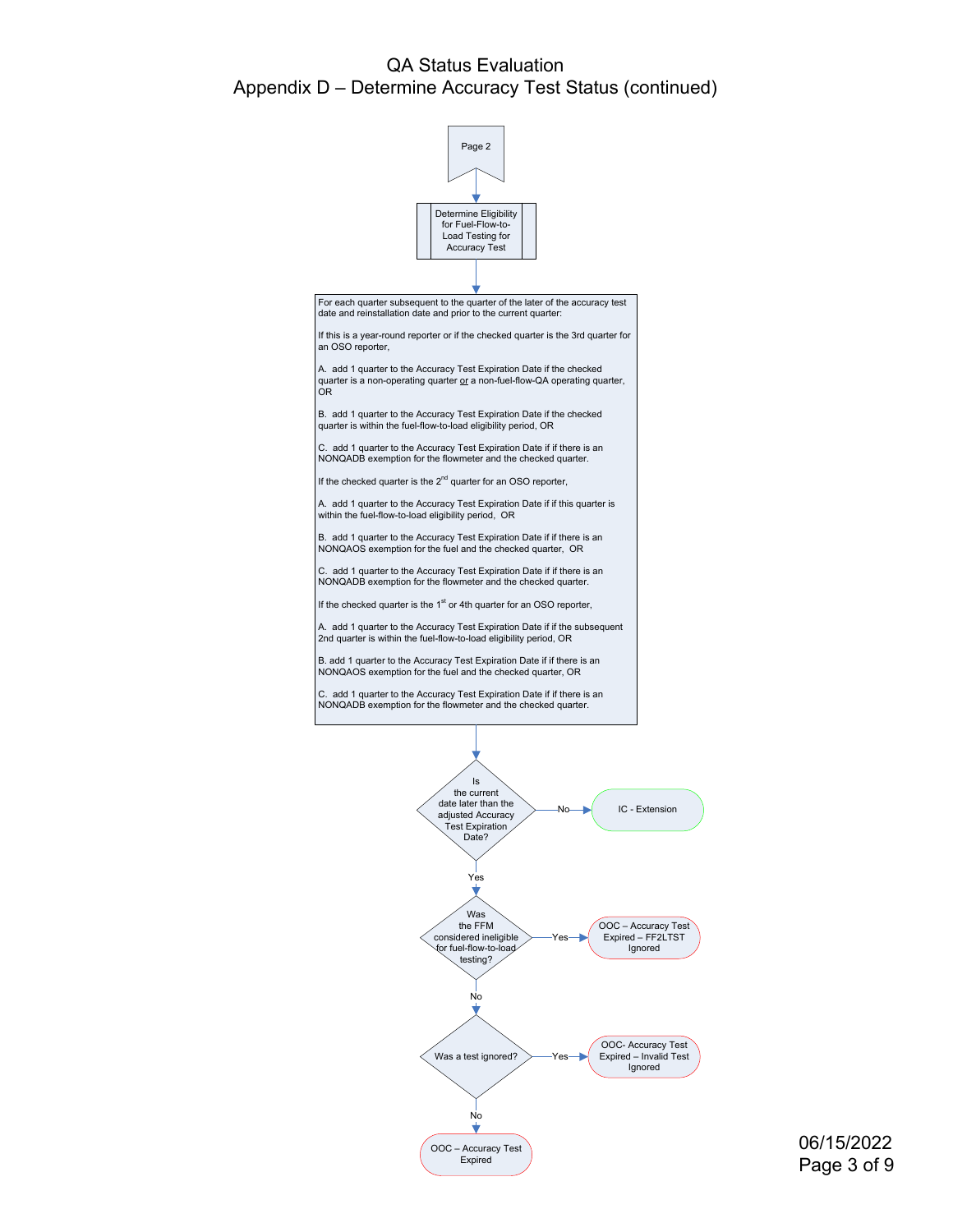## QA Status Evaluation Appendix D – Determine Accuracy Test Status (continued)



06/15/2022 Page 3 of 9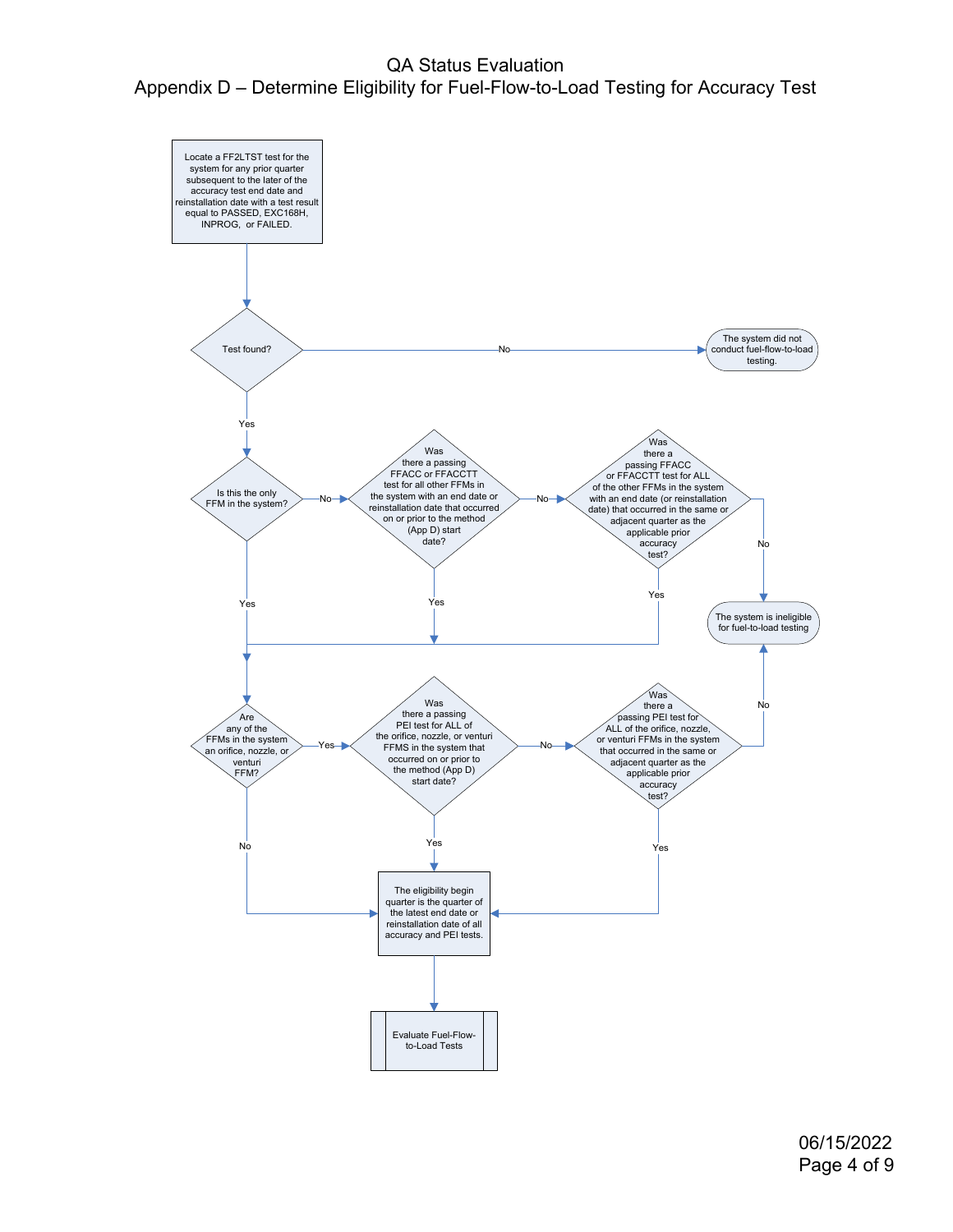QA Status Evaluation Appendix D – Determine Eligibility for Fuel-Flow-to-Load Testing for Accuracy Test



06/15/2022 Page 4 of 9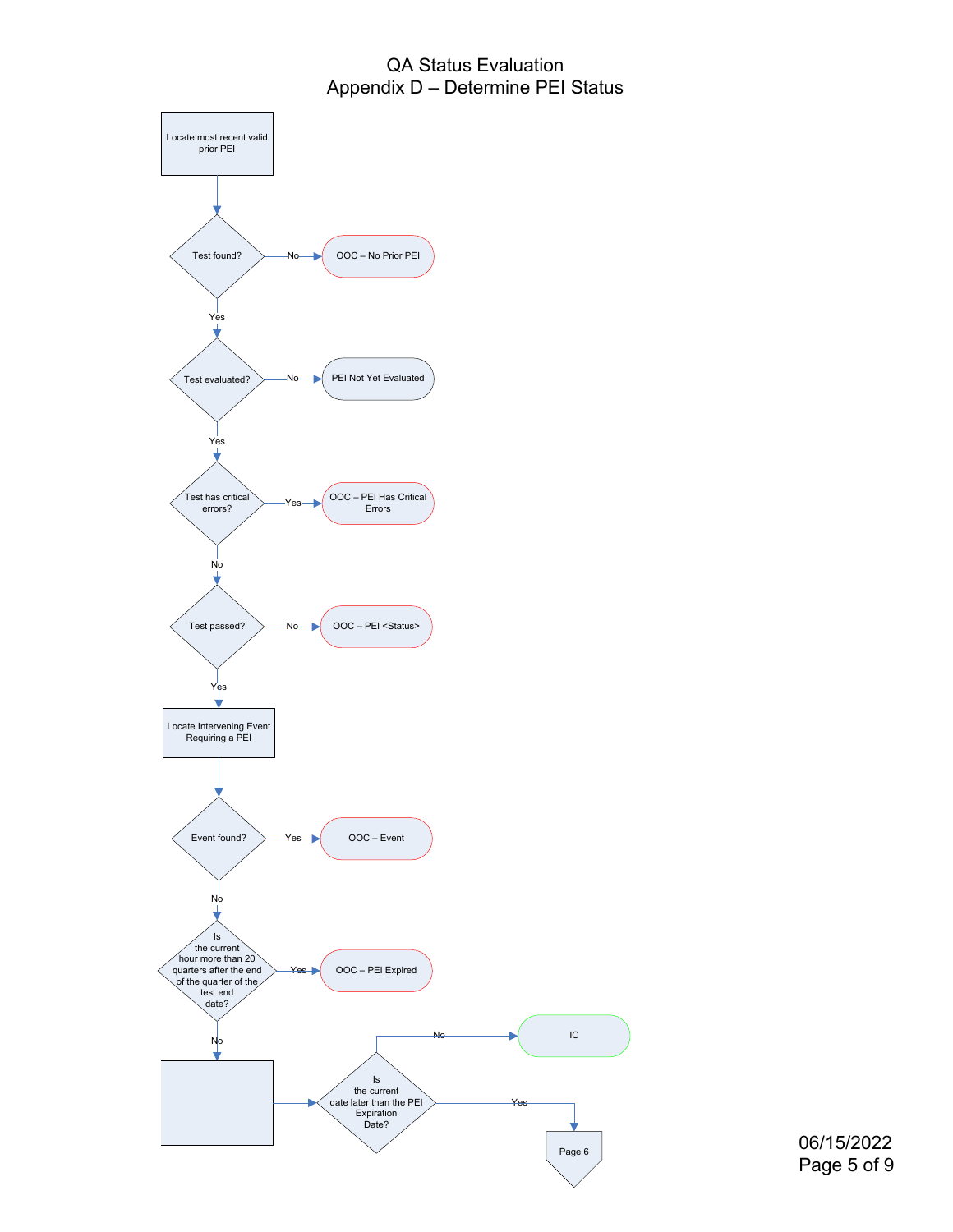## QA Status Evaluation Appendix D – Determine PEI Status



Page 6 06/15/2022 Page 5 of 9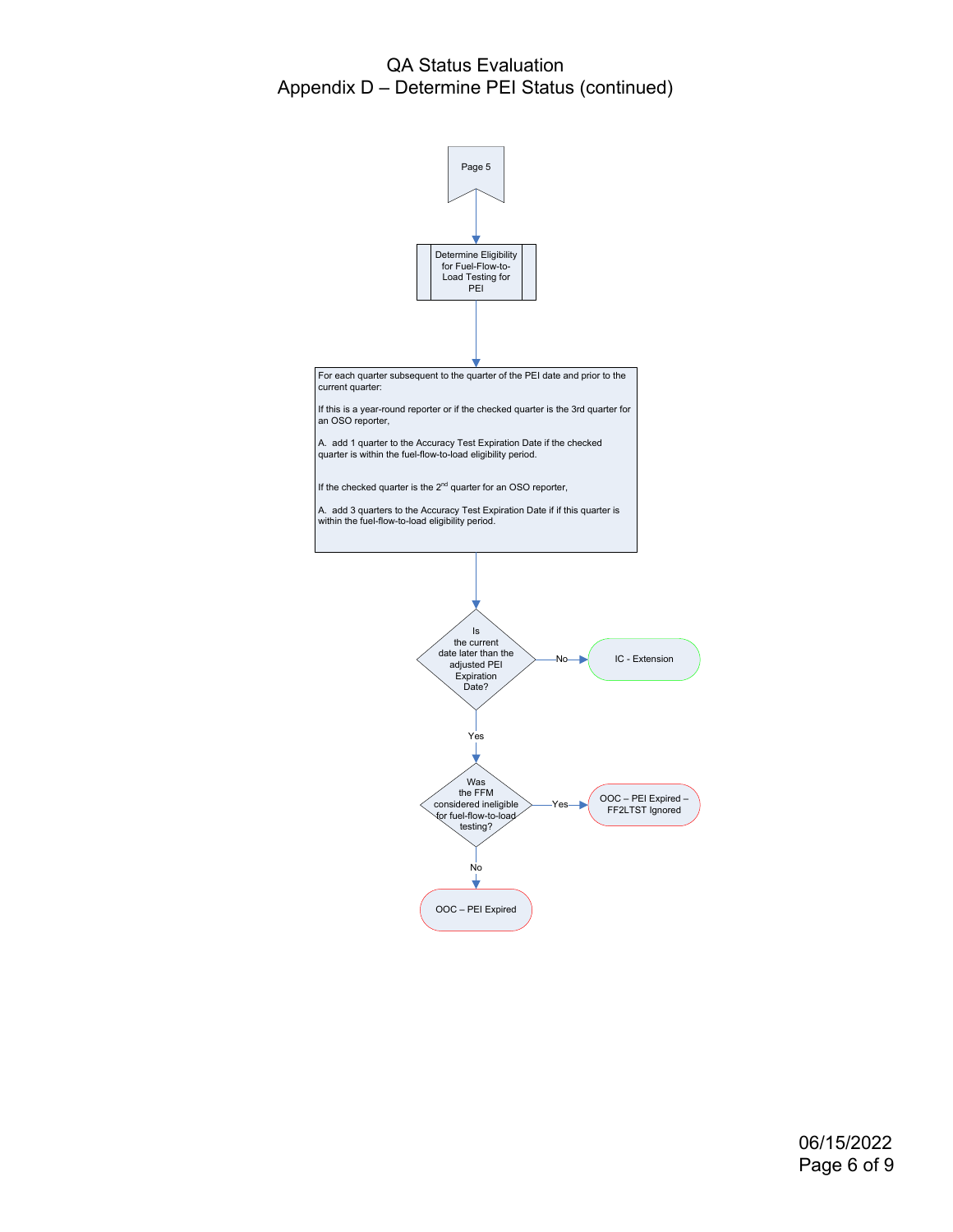## QA Status Evaluation Appendix D – Determine PEI Status (continued)

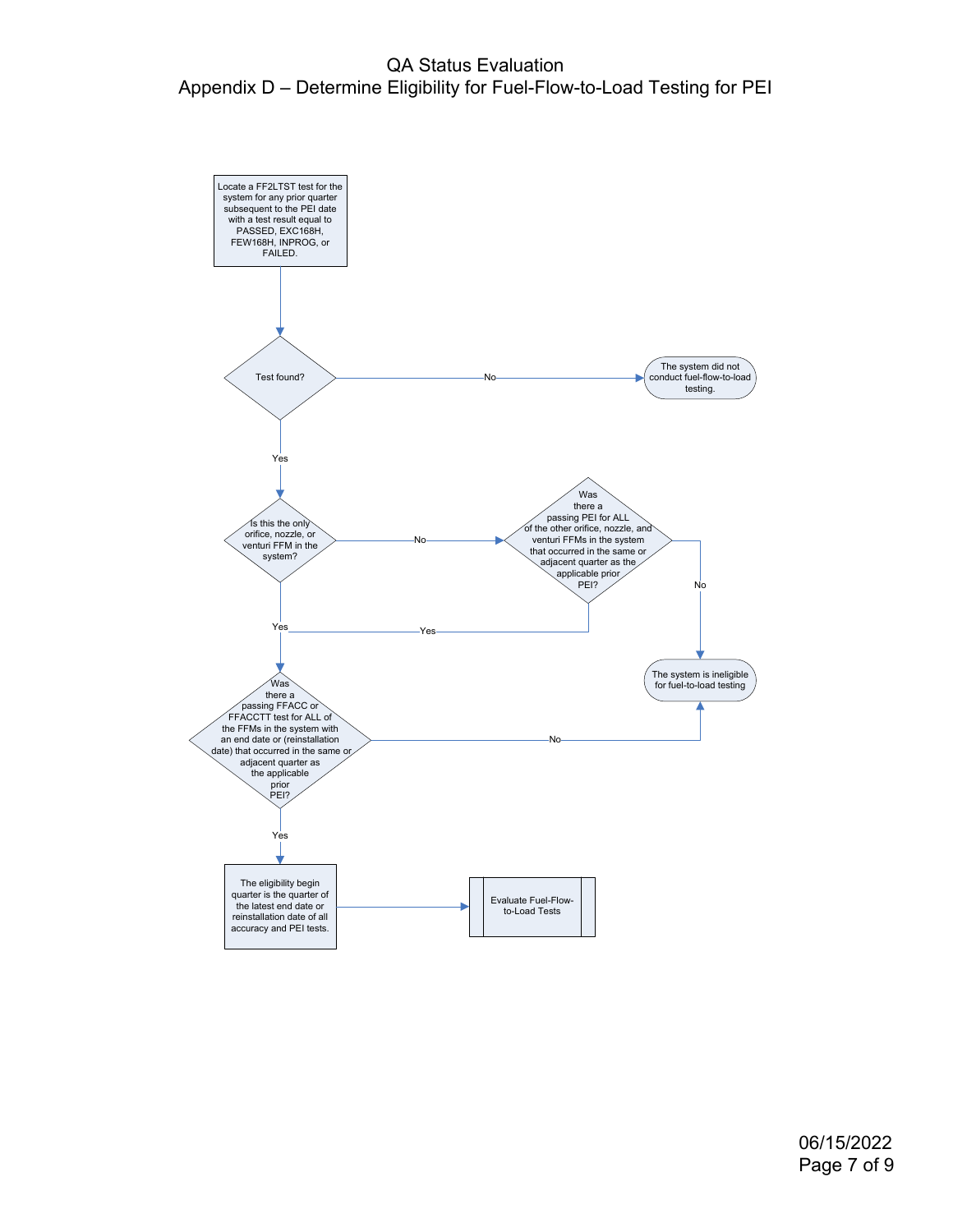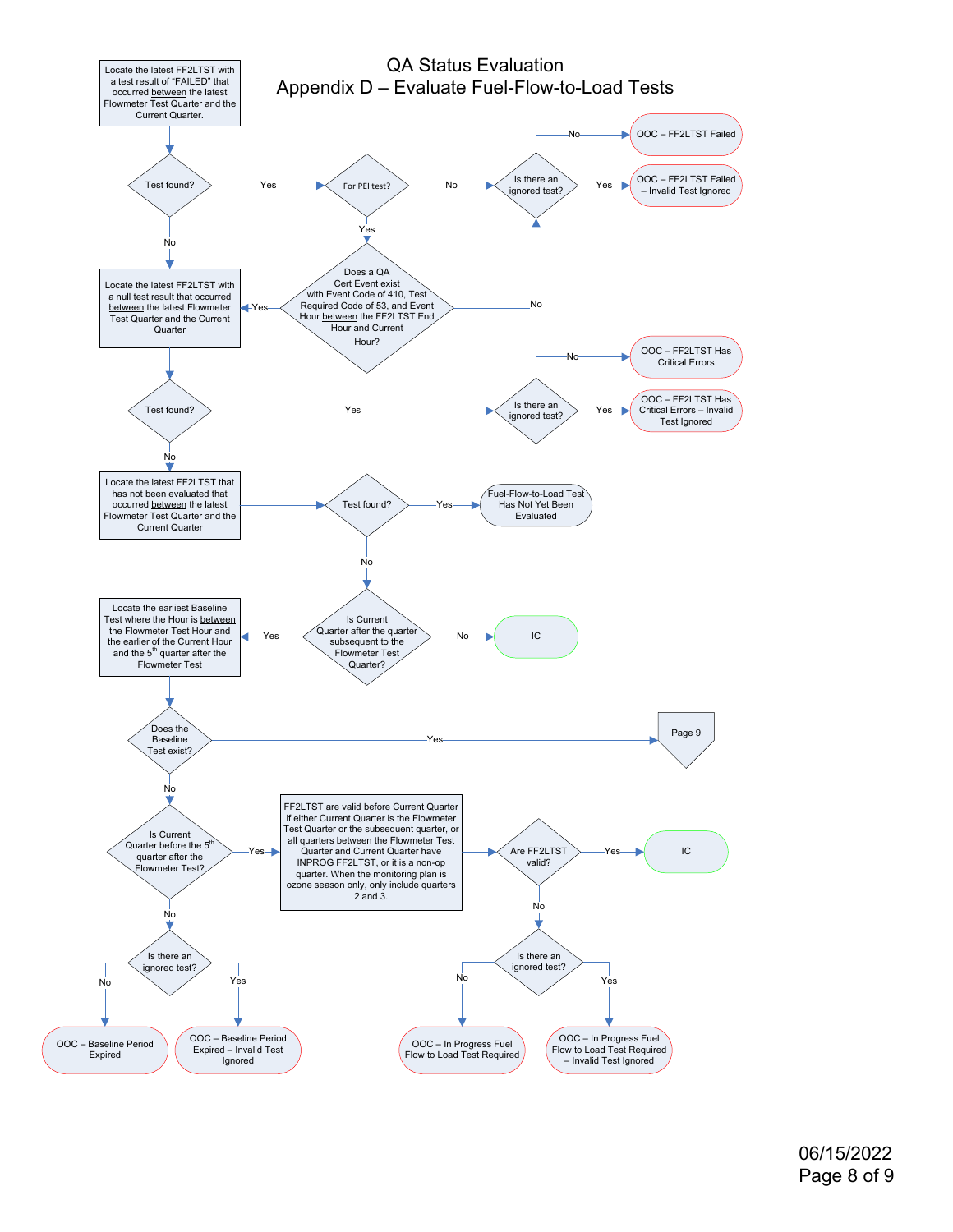

06/15/2022 Page 8 of 9